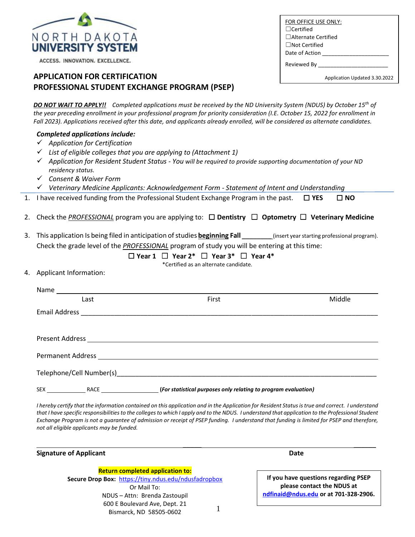

ACCESS. INNOVATION. EXCELLENCE.

## **APPLICATION FOR CERTIFICATION PROFESSIONAL STUDENT EXCHANGE PROGRAM (PSEP)**

*DO NOT WAIT TO APPLY!! Completed applications must be received by the ND University System (NDUS) by October 15th of the year preceding enrollment in your professional program for priority consideration (I.E. October 15, 2022 for enrollment in Fall 2023). Applications received after this date, and applicants already enrolled, will be considered as alternate candidates.*

|  | <b>Completed applications include:</b> |  |
|--|----------------------------------------|--|
|--|----------------------------------------|--|

- ✓ *Application for Certification*
- ✓ *List of eligible colleges that you are applying to (Attachment 1)*
- ✓ *Application for Resident Student Status - You will be required to provide supporting documentation of your ND residency status.*
- ✓ *Consent & Waiver Form*
- ✓ *Veterinary Medicine Applicants: Acknowledgement Form - Statement of Intent and Understanding*
- 1. I have received funding from the Professional Student Exchange Program in the past. ☐ **YES** ☐ **NO**
- 2. Check the *PROFESSIONAL* program you are applying to: ☐ **Dentistry** ☐ **Optometry** ☐ **Veterinary Medicine**
- 3. This application Is being filed in anticipation of studies **beginning Fall** (insert year starting professional program). Check the grade level of the *PROFESSIONAL* program of study you will be entering at this time:

## ☐ **Year 1** ☐ **Year 2\*** ☐ **Year 3\*** ☐ **Year 4\***

\*Certified as an alternate candidate.

#### 4. Applicant Information:

| Last | First                                                          | Middle |
|------|----------------------------------------------------------------|--------|
|      |                                                                |        |
|      |                                                                |        |
|      |                                                                |        |
|      |                                                                |        |
|      |                                                                |        |
|      | (For statistical purposes only relating to program evaluation) |        |

*I hereby certify that the information contained on this application and in the Application for Resident Status is true and correct. I understand*  that I have specific responsibilities to the colleges to which I apply and to the NDUS. I understand that application to the Professional Student *Exchange Program is not a guarantee of admission or receipt of PSEP funding. I understand that funding is limited for PSEP and therefore, not all eligible applicants may be funded.* 

| <b>Signature of Applicant</b> | Date |
|-------------------------------|------|
|-------------------------------|------|

1 **Return completed application to: Secure Drop Box:** <https://tiny.ndus.edu/ndusfadropbox> Or Mail To: NDUS – Attn: Brenda Zastoupil 600 E Boulevard Ave, Dept. 21 Bismarck, ND 58505-0602

\_\_\_\_\_ \_\_\_\_\_\_

**If you have questions regarding PSEP please contact the NDUS at [ndfinaid@ndus.edu](mailto:ndfinaid@ndus.edu) or at 701-328-2906.**

☐Not Certified Date of Action Reviewed By

FOR OFFICE USE ONLY:

☐Alternate Certified

☐Certified

Application Updated 3.30.2022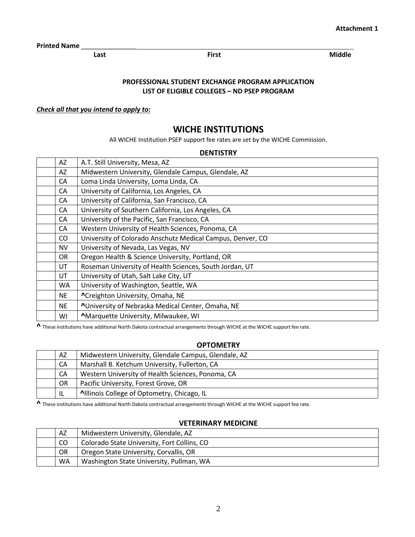**Printed Name** \_\_\_\_\_\_\_\_\_\_\_\_\_\_\_

**Last Contract Contract Contract Contract Contract Contract Contract Contract Contract Contract Contract Contract Contract Contract Contract Contract Contract Contract Contract Contract Contract Contract Contract Contract** 

### **PROFESSIONAL STUDENT EXCHANGE PROGRAM APPLICATION LIST OF ELIGIBLE COLLEGES – ND PSEP PROGRAM**

### *Check all that you intend to apply to:*

## **WICHE INSTITUTIONS**

All WICHE Institution PSEP support fee rates are set by the WICHE Commission.

### **DENTISTRY**

| AZ        | A.T. Still University, Mesa, AZ                            |  |
|-----------|------------------------------------------------------------|--|
| AZ        | Midwestern University, Glendale Campus, Glendale, AZ       |  |
| CA        | Loma Linda University, Loma Linda, CA                      |  |
| CA        | University of California, Los Angeles, CA                  |  |
| CA        | University of California, San Francisco, CA                |  |
| CA        | University of Southern California, Los Angeles, CA         |  |
| CA        | University of the Pacific, San Francisco, CA               |  |
| CA        | Western University of Health Sciences, Ponoma, CA          |  |
| CO        | University of Colorado Anschutz Medical Campus, Denver, CO |  |
| <b>NV</b> | University of Nevada, Las Vegas, NV                        |  |
| OR.       | Oregon Health & Science University, Portland, OR           |  |
| UT        | Roseman University of Health Sciences, South Jordan, UT    |  |
| UT        | University of Utah, Salt Lake City, UT                     |  |
| <b>WA</b> | University of Washington, Seattle, WA                      |  |
| <b>NE</b> | ^Creighton University, Omaha, NE                           |  |
| <b>NE</b> | <b>AUniversity of Nebraska Medical Center, Omaha, NE</b>   |  |
| WI        | <b>^Marquette University, Milwaukee, WI</b>                |  |

**^** These institutions have additional North Dakota contractual arrangements through WICHE at the WICHE support fee rate.

### **OPTOMETRY**

| AZ                                                  | Midwestern University, Glendale Campus, Glendale, AZ |  |
|-----------------------------------------------------|------------------------------------------------------|--|
| Marshall B. Ketchum University, Fullerton, CA<br>CA |                                                      |  |
| CA                                                  | Western University of Health Sciences, Ponoma, CA    |  |
| <b>OR</b>                                           | Pacific University, Forest Grove, OR                 |  |
| -IL                                                 | Allinois College of Optometry, Chicago, IL           |  |

**^** These institutions have additional North Dakota contractual arrangements through WICHE at the WICHE support fee rate.

#### **VETERINARY MEDICINE**

| AZ        | Midwestern University, Glendale, AZ         |  |
|-----------|---------------------------------------------|--|
| CO.       | Colorado State University, Fort Collins, CO |  |
| <b>OR</b> | Oregon State University, Corvallis, OR      |  |
| WA.       | Washington State University, Pullman, WA    |  |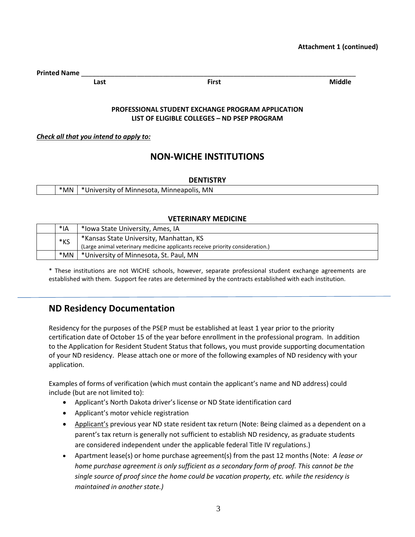**Printed Name** \_\_\_\_\_\_\_\_\_\_\_\_\_\_\_\_\_\_\_\_\_\_\_\_\_\_\_\_\_\_\_\_\_\_\_\_\_\_\_\_\_\_\_\_\_\_\_\_\_\_\_\_\_\_\_\_\_\_\_\_\_\_\_\_\_\_\_\_\_\_\_\_\_\_

**Last Contract Contract Contract Contract Contract Contract Contract Contract Contract Contract Contract Contract Contract Contract Contract Contract Contract Contract Contract Contract Contract Contract Contract Contract** 

## **PROFESSIONAL STUDENT EXCHANGE PROGRAM APPLICATION LIST OF ELIGIBLE COLLEGES – ND PSEP PROGRAM**

*Check all that you intend to apply to:*

# **NON-WICHE INSTITUTIONS**

## **DENTISTRY**

| *MN | *University of Minnesota, Minneapolis, MN |
|-----|-------------------------------------------|

## **VETERINARY MEDICINE**

|                                                   | *IA | *Iowa State University, Ames, IA                                              |
|---------------------------------------------------|-----|-------------------------------------------------------------------------------|
| *Kansas State University, Manhattan, KS<br>$*$ KS |     |                                                                               |
|                                                   |     | (Large animal veterinary medicine applicants receive priority consideration.) |
|                                                   | *MN | *University of Minnesota, St. Paul, MN                                        |

\* These institutions are not WICHE schools, however, separate professional student exchange agreements are established with them. Support fee rates are determined by the contracts established with each institution.

# **ND Residency Documentation**

Residency for the purposes of the PSEP must be established at least 1 year prior to the priority certification date of October 15 of the year before enrollment in the professional program. In addition to the Application for Resident Student Status that follows, you must provide supporting documentation of your ND residency. Please attach one or more of the following examples of ND residency with your application.

Examples of forms of verification (which must contain the applicant's name and ND address) could include (but are not limited to):

- Applicant's North Dakota driver's license or ND State identification card
- Applicant's motor vehicle registration
- Applicant's previous year ND state resident tax return (Note: Being claimed as a dependent on a parent's tax return is generally not sufficient to establish ND residency, as graduate students are considered independent under the applicable federal Title IV regulations.)
- Apartment lease(s) or home purchase agreement(s) from the past 12 months (Note: *A lease or home purchase agreement is only sufficient as a secondary form of proof. This cannot be the single source of proof since the home could be vacation property, etc. while the residency is maintained in another state.)*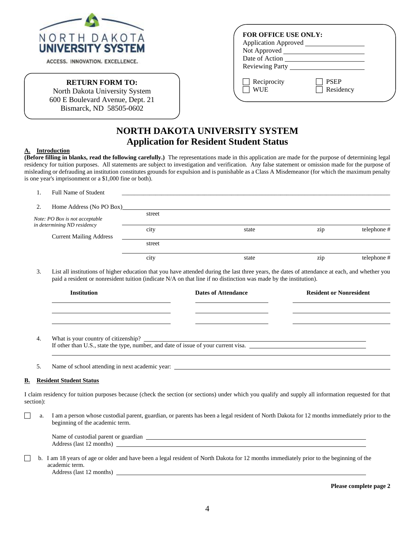

ACCESS. INNOVATION. EXCELLENCE.

#### **RETURN FORM TO:**

North Dakota University System 600 E Boulevard Avenue, Dept. 21 Bismarck, ND 58505-0602

| FOR OFFICE USE ONLY:       |                          |  |
|----------------------------|--------------------------|--|
| Application Approved _____ |                          |  |
| Not Approved __            |                          |  |
| Date of Action             |                          |  |
| <b>Reviewing Party</b>     |                          |  |
| Reciprocity<br>WI IE       | <b>PSEP</b><br>Residency |  |

# **NORTH DAKOTA UNIVERSITY SYSTEM Application for Resident Student Status**

#### **A. Introduction**

**(Before filling in blanks, read the following carefully.)** The representations made in this application are made for the purpose of determining legal residency for tuition purposes. All statements are subject to investigation and verification. Any false statement or omission made for the purpose of misleading or defrauding an institution constitutes grounds for expulsion and is punishable as a Class A Misdemeanor (for which the maximum penalty is one year's imprisonment or a \$1,000 fine or both).

|    | Full Name of Student           |        |       |     |            |
|----|--------------------------------|--------|-------|-----|------------|
| 2. | Home Address (No PO Box)       |        |       |     |            |
|    | Note: PO Box is not acceptable | street |       |     |            |
|    | in determining ND residency    | city   | state | zip | telephone# |
|    | <b>Current Mailing Address</b> |        |       |     |            |
|    |                                | street |       |     |            |
|    |                                | city   | state | zip | telephone# |

3. List all institutions of higher education that you have attended during the last three years, the dates of attendance at each, and whether you paid a resident or nonresident tuition (indicate N/A on that line if no distinction was made by the institution).

| <b>Institution</b>                   | <b>Dates of Attendance</b> | <b>Resident or Nonresident</b> |
|--------------------------------------|----------------------------|--------------------------------|
|                                      |                            |                                |
|                                      |                            |                                |
| What is your country of citizenship? |                            |                                |

If other than U.S., state the type, number, and date of issue of your current visa.

5. Name of school attending in next academic year:

#### **B. Resident Student Status**

I claim residency for tuition purposes because (check the section (or sections) under which you qualify and supply all information requested for that section):

a. I am a person whose custodial parent, guardian, or parents has been a legal resident of North Dakota for 12 months immediately prior to the beginning of the academic term.

| Name of custodial parent or guardian |  |
|--------------------------------------|--|
| Address (last 12<br>. months         |  |

 b. I am 18 years of age or older and have been a legal resident of North Dakota for 12 months immediately prior to the beginning of the academic term. Address (last 12 months)

**Please complete page 2**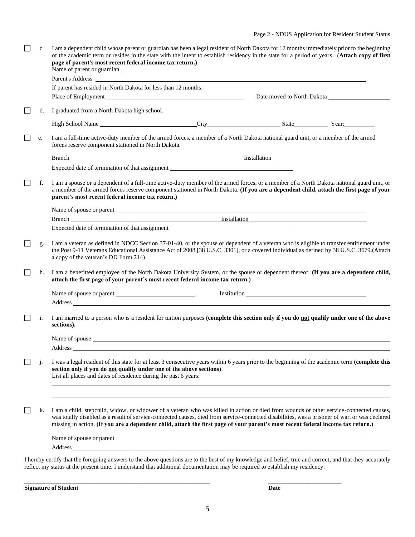| $\Box$ | c.           | I am a dependent child whose parent or guardian has been a legal resident of North Dakota for 12 months immediately prior to the beginning<br>of the academic term or resides in the state with the intent to establish residency in the state for a period of years. (Attach copy of first<br>page of parent's most recent federal income tax return.)                                                                       |  |  |  |  |
|--------|--------------|-------------------------------------------------------------------------------------------------------------------------------------------------------------------------------------------------------------------------------------------------------------------------------------------------------------------------------------------------------------------------------------------------------------------------------|--|--|--|--|
|        |              | Parent's Address                                                                                                                                                                                                                                                                                                                                                                                                              |  |  |  |  |
|        |              | If parent has resided in North Dakota for less than 12 months:                                                                                                                                                                                                                                                                                                                                                                |  |  |  |  |
|        |              | Date moved to North Dakota                                                                                                                                                                                                                                                                                                                                                                                                    |  |  |  |  |
|        | d.           | I graduated from a North Dakota high school.                                                                                                                                                                                                                                                                                                                                                                                  |  |  |  |  |
|        |              |                                                                                                                                                                                                                                                                                                                                                                                                                               |  |  |  |  |
|        | e.           | I am a full-time active-duty member of the armed forces, a member of a North Dakota national guard unit, or a member of the armed<br>forces reserve component stationed in North Dakota.                                                                                                                                                                                                                                      |  |  |  |  |
|        |              | Branch <b>Example 2018</b> and 2018 and 2019 and 2019 and 2019 and 2019 and 2019 and 2019 and 2019 and 2019 and 2019 and 2019 and 2019 and 2019 and 2019 and 2019 and 2019 and 2019 and 2019 and 2019 and 2019 and 2019 and 2019 an                                                                                                                                                                                           |  |  |  |  |
|        |              | Expected date of termination of that assignment _________________________________                                                                                                                                                                                                                                                                                                                                             |  |  |  |  |
|        | f.           | I am a spouse or a dependent of a full-time active-duty member of the armed forces, or a member of a North Dakota national guard unit, or<br>a member of the armed forces reserve component stationed in North Dakota. (If you are a dependent child, attach the first page of your<br>parent's most recent federal income tax return.)                                                                                       |  |  |  |  |
|        |              |                                                                                                                                                                                                                                                                                                                                                                                                                               |  |  |  |  |
|        |              |                                                                                                                                                                                                                                                                                                                                                                                                                               |  |  |  |  |
|        |              | Expected date of termination of that assignment                                                                                                                                                                                                                                                                                                                                                                               |  |  |  |  |
|        | g.           | I am a veteran as defined in NDCC Section 37-01-40, or the spouse or dependent of a veteran who is eligible to transfer entitlement under<br>the Post 9-11 Veterans Educational Assistance Act of 2008 [38 U.S.C. 3301], or a covered individual as defined by 38 U.S.C. 3679.(Attach<br>a copy of the veteran's DD Form 214).                                                                                                |  |  |  |  |
|        | h.           | I am a benefitted employee of the North Dakota University System, or the spouse or dependent thereof. (If you are a dependent child,<br>attach the first page of your parent's most recent federal income tax return.)                                                                                                                                                                                                        |  |  |  |  |
|        |              | <b>Institution</b>                                                                                                                                                                                                                                                                                                                                                                                                            |  |  |  |  |
|        | i.           | I am married to a person who is a resident for tuition purposes (complete this section only if you do not qualify under one of the above<br>sections).                                                                                                                                                                                                                                                                        |  |  |  |  |
|        |              | Name of spouse Name of spouse<br>Address __                                                                                                                                                                                                                                                                                                                                                                                   |  |  |  |  |
|        | $\mathbf{1}$ | I was a legal resident of this state for at least 3 consecutive years within 6 years prior to the beginning of the academic term (complete this<br>section only if you do not qualify under one of the above sections).<br>List all places and dates of residence during the past 6 years:                                                                                                                                    |  |  |  |  |
|        | k.           | I am a child, stepchild, widow, or widower of a veteran who was killed in action or died from wounds or other service-connected causes,<br>was totally disabled as a result of service-connected causes, died from service-connected disabilities, was a prisoner of war, or was declared<br>missing in action. (If you are a dependent child, attach the first page of your parent's most recent federal income tax return.) |  |  |  |  |
|        |              |                                                                                                                                                                                                                                                                                                                                                                                                                               |  |  |  |  |
|        |              |                                                                                                                                                                                                                                                                                                                                                                                                                               |  |  |  |  |
|        |              | I hereby certify that the foregoing answers to the above questions are to the best of my knowledge and belief, true and correct; and that they accurately<br>reflect my status at the present time. I understand that additional documentation may be required to establish my residency.                                                                                                                                     |  |  |  |  |

**\_\_\_\_\_\_\_\_\_\_\_\_\_\_\_\_\_\_\_\_\_\_\_\_\_\_\_\_\_\_\_\_\_\_\_\_\_\_\_\_\_\_\_\_\_\_\_\_\_\_\_\_\_\_\_\_\_\_\_\_\_ \_\_\_\_\_\_\_\_\_\_\_\_\_\_\_\_\_\_\_\_\_\_\_\_**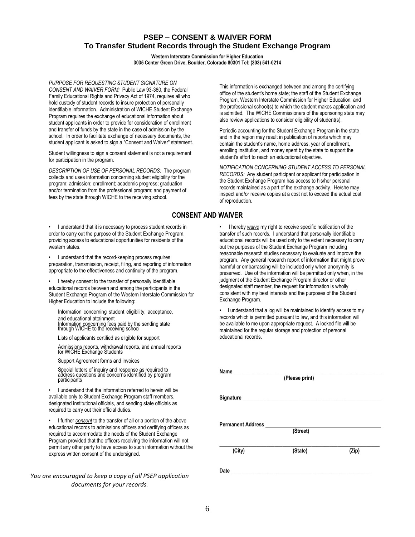## **PSEP – CONSENT & WAIVER FORM To Transfer Student Records through the Student Exchange Program**

**Western Interstate Commission for Higher Education 3035 Center Green Drive, Boulder, Colorado 80301 Tel: (303) 541-0214**

*PURPOSE FOR REQUESTING STUDENT SIGNATURE ON CONSENT AND WAIVER FORM:* Public Law 93-380, the Federal Family Educational Rights and Privacy Act of 1974, requires all who hold custody of student records to insure protection of personally identifiable information. Administration of WICHE Student Exchange Program requires the exchange of educational information about student applicants in order to provide for consideration of enrollment and transfer of funds by the state in the case of admission by the school. In order to facilitate exchange of necessary documents, the student applicant is asked to sign a "Consent and Waiver" statement.

Student willingness to sign a consent statement is not a requirement for participation in the program.

*DESCRIPTION OF USE OF PERSONAL RECORDS:* The program collects and uses information concerning student eligibility for the program; admission; enrollment; academic progress; graduation and/or termination from the professional program; and payment of fees by the state through WICHE to the receiving school.

• I understand that it is necessary to process student records in order to carry out the purpose of the Student Exchange Program, providing access to educational opportunities for residents of the western states.

• I understand that the record-keeping process requires preparation, transmission, receipt, filing, and reporting of information appropriate to the effectiveness and continuity of the program.

• I hereby consent to the transfer of personally identifiable educational records between and among the participants in the Student Exchange Program of the Western Interstate Commission for Higher Education to include the following:

Information concerning student eligibility, acceptance, and educational attainment Information concerning fees paid by the sending state through WICHE **t**o the receiving school

Lists of applicants certified as eligible for support

Admissions reports, withdrawal reports, and annual reports for WICHE Exchange Students

Support Agreement forms and invoices

Special letters of inquiry and response as required to address questions and concerns identified by program participants

• I understand that the information referred to herein will be available only to Student Exchange Program staff members, designated institutional officials, and sending state officials as required to carry out their official duties.

• I further *consent* to the transfer of all or a portion of the above educational records to admissions officers and certifying officers as required to accommodate the needs of the Student Exchange Program provided that the officers receiving the information will not permit any other party to have access to such information without the express written consent of the undersigned.

*You are encouraged to keep a copy of all PSEP application documents for your records.*

This information is exchanged between and among the certifying office of the student's home state; the staff of the Student Exchange Program, Western Interstate Commission for Higher Education; and the professional school(s) to which the student makes application and is admitted. The WICHE Commissioners of the sponsoring state may also review applications to consider eligibility of student(s).

Periodic accounting for the Student Exchange Program in the state and in the region may result in publication of reports which may contain the student's name, home address, year of enrollment, enrolling institution, and money spent by the state to support the student's effort to reach an educational objective.

*NOTIFICATION CONCERNING STUDENT ACCESS TO PERSONAL RECORDS:* Any student participant or applicant for participation in the Student Exchange Program has access to his/her personal records maintained as a part of the exchange activity. He/she may inspect and/or receive copies at a cost not to exceed the actual cost of reproduction.

## **CONSENT AND WAIVER**

• I hereby *waive* my right to receive specific notification of the transfer of such records. I understand that personally identifiable educational records will be used only to the extent necessary to carry out the purposes of the Student Exchange Program including reasonable research studies necessary to evaluate and improve the program. Any general research report of information that might prove harmful or embarrassing will be included only when anonymity is preserved. Use of the information will be permitted only when, in the judgment of the Student Exchange Program director or other designated staff member, the request for information is wholly consistent with my best interests and the purposes of the Student Exchange Program.

• I understand that a log will be maintained to identify access to my records which is permitted pursuant to law, and this information will be available to me upon appropriate request. A locked file will be maintained for the regular storage and protection of personal educational records.

| (Please print)           |          |       |  |  |  |
|--------------------------|----------|-------|--|--|--|
|                          |          |       |  |  |  |
| <b>Permanent Address</b> | (Street) |       |  |  |  |
| (City)                   | (State)  | (Zip) |  |  |  |
| Date                     |          |       |  |  |  |